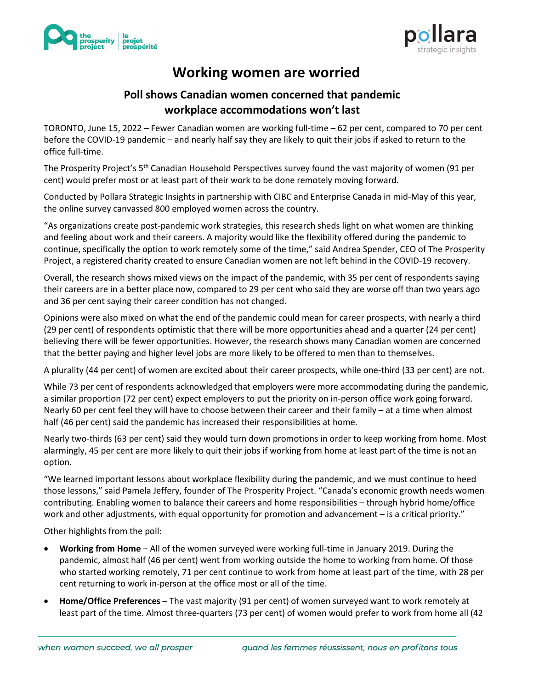



## **Working women are worried**

## **Poll shows Canadian women concerned that pandemic workplace accommodations won't last**

TORONTO, June 15, 2022 – Fewer Canadian women are working full-time – 62 per cent, compared to 70 per cent before the COVID-19 pandemic – and nearly half say they are likely to quit their jobs if asked to return to the office full-time.

The Prosperity Project's 5th Canadian Household Perspectives survey found the vast majority of women (91 per cent) would prefer most or at least part of their work to be done remotely moving forward.

Conducted by Pollara Strategic Insights in partnership with CIBC and Enterprise Canada in mid-May of this year, the online survey canvassed 800 employed women across the country.

"As organizations create post-pandemic work strategies, this research sheds light on what women are thinking and feeling about work and their careers. A majority would like the flexibility offered during the pandemic to continue, specifically the option to work remotely some of the time," said Andrea Spender, CEO of The Prosperity Project, a registered charity created to ensure Canadian women are not left behind in the COVID-19 recovery.

Overall, the research shows mixed views on the impact of the pandemic, with 35 per cent of respondents saying their careers are in a better place now, compared to 29 per cent who said they are worse off than two years ago and 36 per cent saying their career condition has not changed.

Opinions were also mixed on what the end of the pandemic could mean for career prospects, with nearly a third (29 per cent) of respondents optimistic that there will be more opportunities ahead and a quarter (24 per cent) believing there will be fewer opportunities. However, the research shows many Canadian women are concerned that the better paying and higher level jobs are more likely to be offered to men than to themselves.

A plurality (44 per cent) of women are excited about their career prospects, while one-third (33 per cent) are not.

While 73 per cent of respondents acknowledged that employers were more accommodating during the pandemic, a similar proportion (72 per cent) expect employers to put the priority on in-person office work going forward. Nearly 60 per cent feel they will have to choose between their career and their family – at a time when almost half (46 per cent) said the pandemic has increased their responsibilities at home.

Nearly two-thirds (63 per cent) said they would turn down promotions in order to keep working from home. Most alarmingly, 45 per cent are more likely to quit their jobs if working from home at least part of the time is not an option.

"We learned important lessons about workplace flexibility during the pandemic, and we must continue to heed those lessons," said Pamela Jeffery, founder of The Prosperity Project. "Canada's economic growth needs women contributing. Enabling women to balance their careers and home responsibilities – through hybrid home/office work and other adjustments, with equal opportunity for promotion and advancement – is a critical priority."

Other highlights from the poll:

- **Working from Home** All of the women surveyed were working full-time in January 2019. During the pandemic, almost half (46 per cent) went from working outside the home to working from home. Of those who started working remotely, 71 per cent continue to work from home at least part of the time, with 28 per cent returning to work in-person at the office most or all of the time.
- **Home/Office Preferences** The vast majority (91 per cent) of women surveyed want to work remotely at least part of the time. Almost three-quarters (73 per cent) of women would prefer to work from home all (42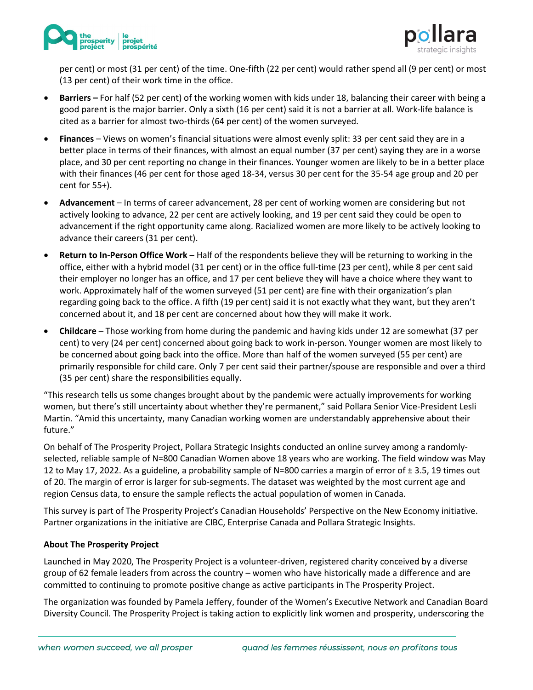



per cent) or most (31 per cent) of the time. One-fifth (22 per cent) would rather spend all (9 per cent) or most (13 per cent) of their work time in the office.

- **Barriers –** For half (52 per cent) of the working women with kids under 18, balancing their career with being a good parent is the major barrier. Only a sixth (16 per cent) said it is not a barrier at all. Work-life balance is cited as a barrier for almost two-thirds (64 per cent) of the women surveyed.
- **Finances** Views on women's financial situations were almost evenly split: 33 per cent said they are in a better place in terms of their finances, with almost an equal number (37 per cent) saying they are in a worse place, and 30 per cent reporting no change in their finances. Younger women are likely to be in a better place with their finances (46 per cent for those aged 18-34, versus 30 per cent for the 35-54 age group and 20 per cent for 55+).
- **Advancement** In terms of career advancement, 28 per cent of working women are considering but not actively looking to advance, 22 per cent are actively looking, and 19 per cent said they could be open to advancement if the right opportunity came along. Racialized women are more likely to be actively looking to advance their careers (31 per cent).
- **Return to In-Person Office Work**  Half of the respondents believe they will be returning to working in the office, either with a hybrid model (31 per cent) or in the office full-time (23 per cent), while 8 per cent said their employer no longer has an office, and 17 per cent believe they will have a choice where they want to work. Approximately half of the women surveyed (51 per cent) are fine with their organization's plan regarding going back to the office. A fifth (19 per cent) said it is not exactly what they want, but they aren't concerned about it, and 18 per cent are concerned about how they will make it work.
- **Childcare** Those working from home during the pandemic and having kids under 12 are somewhat (37 per cent) to very (24 per cent) concerned about going back to work in-person. Younger women are most likely to be concerned about going back into the office. More than half of the women surveyed (55 per cent) are primarily responsible for child care. Only 7 per cent said their partner/spouse are responsible and over a third (35 per cent) share the responsibilities equally.

"This research tells us some changes brought about by the pandemic were actually improvements for working women, but there's still uncertainty about whether they're permanent," said Pollara Senior Vice-President Lesli Martin. "Amid this uncertainty, many Canadian working women are understandably apprehensive about their future."

On behalf of The Prosperity Project, Pollara Strategic Insights conducted an online survey among a randomlyselected, reliable sample of N=800 Canadian Women above 18 years who are working. The field window was May 12 to May 17, 2022. As a guideline, a probability sample of N=800 carries a margin of error of  $\pm$  3.5, 19 times out of 20. The margin of error is larger for sub-segments. The dataset was weighted by the most current age and region Census data, to ensure the sample reflects the actual population of women in Canada.

This survey is part of The Prosperity Project's Canadian Households' Perspective on the New Economy initiative. Partner organizations in the initiative are CIBC, Enterprise Canada and Pollara Strategic Insights.

## **About The Prosperity Project**

Launched in May 2020, The Prosperity Project is a volunteer-driven, registered charity conceived by a diverse group of 62 female leaders from across the country – women who have historically made a difference and are committed to continuing to promote positive change as active participants in The Prosperity Project.

The organization was founded by Pamela Jeffery, founder of the Women's Executive Network and Canadian Board Diversity Council. The Prosperity Project is taking action to explicitly link women and prosperity, underscoring the